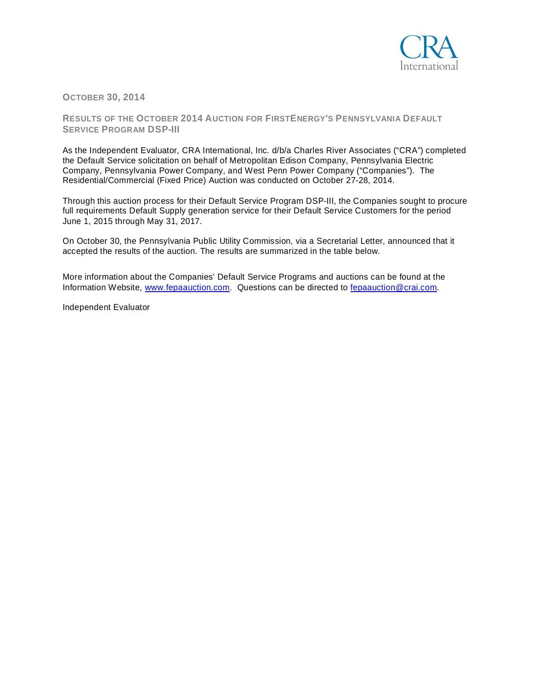

**OCTOBER 30, 2014**

**RESULTS OF THE OCTOBER 2014 AUCTION FOR FIRSTENERGY'S PENNSYLVANIA DEFAULT SERVICE PROGRAM DSP-III**

As the Independent Evaluator, CRA International, Inc. d/b/a Charles River Associates ("CRA") completed the Default Service solicitation on behalf of Metropolitan Edison Company, Pennsylvania Electric Company, Pennsylvania Power Company, and West Penn Power Company ("Companies"). The Residential/Commercial (Fixed Price) Auction was conducted on October 27-28, 2014.

Through this auction process for their Default Service Program DSP-III, the Companies sought to procure full requirements Default Supply generation service for their Default Service Customers for the period June 1, 2015 through May 31, 2017.

On October 30, the Pennsylvania Public Utility Commission, via a Secretarial Letter, announced that it accepted the results of the auction. The results are summarized in the table below.

More information about the Companies' Default Service Programs and auctions can be found at the Information Website, [www.fepaauction.com.](http://www.fepaauction.com/) Questions can be directed to [fepaauction@crai.com.](mailto:fepaauction@crai.com)

Independent Evaluator